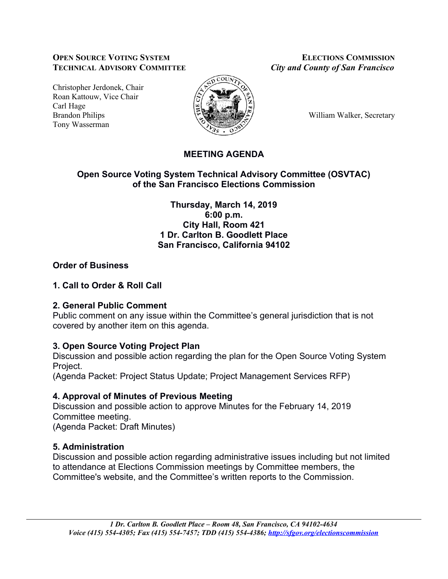### **OPEN SOURCE VOTING SYSTEM ELECTIONS COMMISSION TECHNICAL ADVISORY COMMITTEE** *City and County of San Francisco*

Christopher Jerdonek, Chair Roan Kattouw, Vice Chair Carl Hage Brandon Philips William Walker, Secretary Tony Wasserman



# **MEETING AGENDA**

### **Open Source Voting System Technical Advisory Committee (OSVTAC) of the San Francisco Elections Commission**

**Thursday, March 14, 2019 6:00 p.m. City Hall, Room 421 1 Dr. Carlton B. Goodlett Place San Francisco, California 94102**

# **Order of Business**

# **1. Call to Order & Roll Call**

### **2. General Public Comment**

Public comment on any issue within the Committee's general jurisdiction that is not covered by another item on this agenda.

# **3. Open Source Voting Project Plan**

Discussion and possible action regarding the plan for the Open Source Voting System Project.

(Agenda Packet: Project Status Update; Project Management Services RFP)

# **4. Approval of Minutes of Previous Meeting**

Discussion and possible action to approve Minutes for the February 14, 2019 Committee meeting. (Agenda Packet: Draft Minutes)

# **5. Administration**

Discussion and possible action regarding administrative issues including but not limited to attendance at Elections Commission meetings by Committee members, the Committee's website, and the Committee's written reports to the Commission.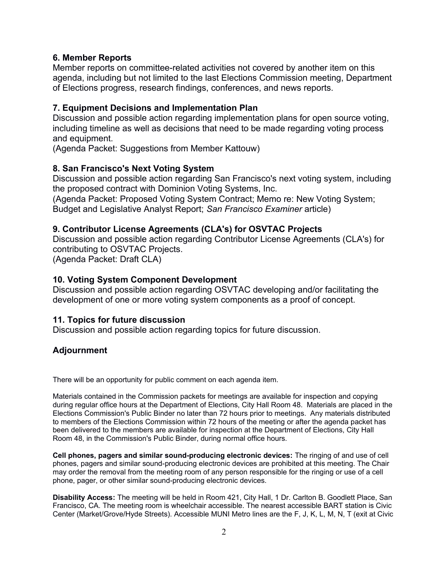#### **6. Member Reports**

Member reports on committee-related activities not covered by another item on this agenda, including but not limited to the last Elections Commission meeting, Department of Elections progress, research findings, conferences, and news reports.

#### **7. Equipment Decisions and Implementation Plan**

Discussion and possible action regarding implementation plans for open source voting, including timeline as well as decisions that need to be made regarding voting process and equipment.

(Agenda Packet: Suggestions from Member Kattouw)

#### **8. San Francisco's Next Voting System**

Discussion and possible action regarding San Francisco's next voting system, including the proposed contract with Dominion Voting Systems, Inc.

(Agenda Packet: Proposed Voting System Contract; Memo re: New Voting System; Budget and Legislative Analyst Report; *San Francisco Examiner* article)

#### **9. Contributor License Agreements (CLA's) for OSVTAC Projects**

Discussion and possible action regarding Contributor License Agreements (CLA's) for contributing to OSVTAC Projects. (Agenda Packet: Draft CLA)

#### **10. Voting System Component Development**

Discussion and possible action regarding OSVTAC developing and/or facilitating the development of one or more voting system components as a proof of concept.

### **11. Topics for future discussion**

Discussion and possible action regarding topics for future discussion.

### **Adjournment**

There will be an opportunity for public comment on each agenda item.

Materials contained in the Commission packets for meetings are available for inspection and copying during regular office hours at the Department of Elections, City Hall Room 48. Materials are placed in the Elections Commission's Public Binder no later than 72 hours prior to meetings. Any materials distributed to members of the Elections Commission within 72 hours of the meeting or after the agenda packet has been delivered to the members are available for inspection at the Department of Elections, City Hall Room 48, in the Commission's Public Binder, during normal office hours.

**Cell phones, pagers and similar sound-producing electronic devices:** The ringing of and use of cell phones, pagers and similar sound-producing electronic devices are prohibited at this meeting. The Chair may order the removal from the meeting room of any person responsible for the ringing or use of a cell phone, pager, or other similar sound-producing electronic devices.

**Disability Access:** The meeting will be held in Room 421, City Hall, 1 Dr. Carlton B. Goodlett Place, San Francisco, CA. The meeting room is wheelchair accessible. The nearest accessible BART station is Civic Center (Market/Grove/Hyde Streets). Accessible MUNI Metro lines are the F, J, K, L, M, N, T (exit at Civic